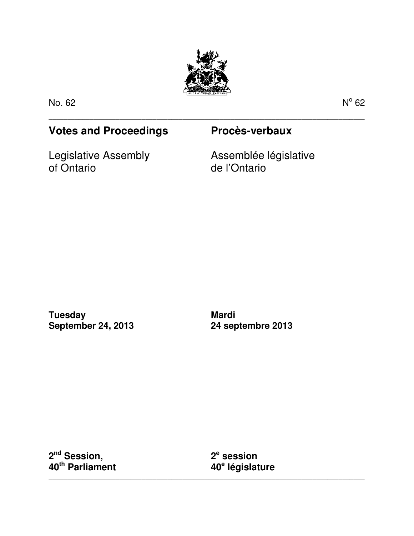

\_\_\_\_\_\_\_\_\_\_\_\_\_\_\_\_\_\_\_\_\_\_\_\_\_\_\_\_\_\_\_\_\_\_\_\_\_\_\_\_\_\_\_\_\_\_\_\_\_\_\_\_\_\_\_\_\_\_\_\_\_\_\_\_\_\_\_\_\_\_\_\_\_\_\_\_\_\_\_\_\_\_\_\_\_

No. 62 No. 62 No. 62 No. 62 No. 62 No. 62 No. 62 No. 62 No. 62 No. 62 No. 62 No. 62 No. 62 No. 62 No. 62 No. 6

 $^{\circ}$  62

# **Votes and Proceedings Procès-verbaux**

Legislative Assembly of Ontario

Assemblée législative de l'Ontario

**Tuesday September 24, 2013** 

**Mardi 24 septembre 2013** 

**2 nd Session, 40th Parliament** 

**2 e session 40<sup>e</sup> législature** 

\_\_\_\_\_\_\_\_\_\_\_\_\_\_\_\_\_\_\_\_\_\_\_\_\_\_\_\_\_\_\_\_\_\_\_\_\_\_\_\_\_\_\_\_\_\_\_\_\_\_\_\_\_\_\_\_\_\_\_\_\_\_\_\_\_\_\_\_\_\_\_\_\_\_\_\_\_\_\_\_\_\_\_\_\_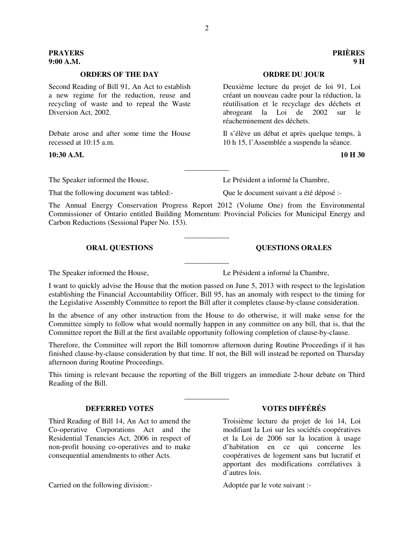### **ORDERS OF THE DAY ORDRE DU JOUR**

Second Reading of Bill 91, An Act to establish a new regime for the reduction, reuse and recycling of waste and to repeal the Waste Diversion Act, 2002.

Debate arose and after some time the House recessed at 10:15 a.m.

### **10:30 A.M. 10 H 30**

That the following document was tabled:- Que le document suivant a été déposé :-

The Speaker informed the House, Le Président a informé la Chambre,

The Annual Energy Conservation Progress Report 2012 (Volume One) from the Environmental Commissioner of Ontario entitled Building Momentum: Provincial Policies for Municipal Energy and Carbon Reductions (Sessional Paper No. 153).

\_\_\_\_\_\_\_\_\_\_\_\_

\_\_\_\_\_\_\_\_\_\_\_\_

\_\_\_\_\_\_\_\_\_\_\_\_

The Speaker informed the House, Le Président a informé la Chambre,

I want to quickly advise the House that the motion passed on June 5, 2013 with respect to the legislation establishing the Financial Accountability Officer, Bill 95, has an anomaly with respect to the timing for the Legislative Assembly Committee to report the Bill after it completes clause-by-clause consideration.

In the absence of any other instruction from the House to do otherwise, it will make sense for the Committee simply to follow what would normally happen in any committee on any bill, that is, that the Committee report the Bill at the first available opportunity following completion of clause-by-clause.

Therefore, the Committee will report the Bill tomorrow afternoon during Routine Proceedings if it has finished clause-by-clause consideration by that time. If not, the Bill will instead be reported on Thursday afternoon during Routine Proceedings.

This timing is relevant because the reporting of the Bill triggers an immediate 2-hour debate on Third Reading of the Bill.

\_\_\_\_\_\_\_\_\_\_\_\_

### **DEFERRED VOTES VOTES DIFFÉRÉS**

Third Reading of Bill 14, An Act to amend the Co-operative Corporations Act and the Residential Tenancies Act, 2006 in respect of non-profit housing co-operatives and to make consequential amendments to other Acts.

Carried on the following division:- Adoptée par le vote suivant :-

Troisième lecture du projet de loi 14, Loi modifiant la Loi sur les sociétés coopératives et la Loi de 2006 sur la location à usage d'habitation en ce qui concerne les coopératives de logement sans but lucratif et apportant des modifications corrélatives à d'autres lois.

Deuxième lecture du projet de loi 91, Loi créant un nouveau cadre pour la réduction, la réutilisation et le recyclage des déchets et abrogeant la Loi de 2002 sur le réacheminement des déchets.

Il s'élève un débat et après quelque temps, à 10 h 15, l'Assemblée a suspendu la séance.

**PRAYERS PRIÈRES 9:00 A.M. 9 H** 

# **ORAL QUESTIONS QUESTIONS ORALES**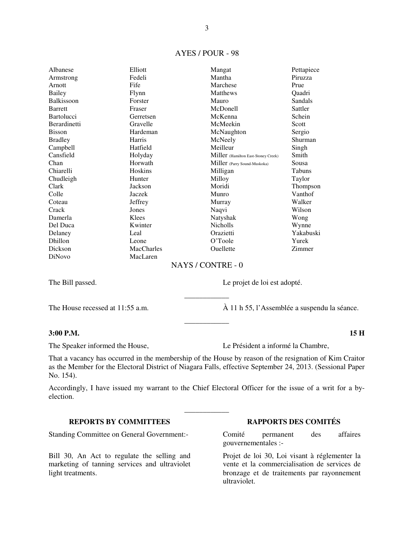### AYES / POUR - 98

| Albanese          | Elliott           | Mangat                              | Pettapiece |
|-------------------|-------------------|-------------------------------------|------------|
| Armstrong         | Fedeli            | Mantha                              | Piruzza    |
| Arnott            | Fife              | Marchese                            | Prue       |
| Bailey            | Flynn             | <b>Matthews</b>                     | Qaadri     |
| <b>Balkissoon</b> | Forster           | Mauro                               | Sandals    |
| <b>Barrett</b>    | Fraser            | McDonell                            | Sattler    |
| <b>Bartolucci</b> | Gerretsen         | McKenna                             | Schein     |
| Berardinetti      | Gravelle          | McMeekin                            | Scott      |
| <b>Bisson</b>     | Hardeman          | McNaughton                          | Sergio     |
| <b>Bradley</b>    | Harris            | McNeely                             | Shurman    |
| Campbell          | Hatfield          | Meilleur                            | Singh      |
| Cansfield         | Holyday           | Miller (Hamilton East-Stoney Creek) | Smith      |
| Chan              | Horwath           | Miller (Parry Sound-Muskoka)        | Sousa      |
| Chiarelli         | Hoskins           | Milligan                            | Tabuns     |
| Chudleigh         | Hunter            | Milloy                              | Taylor     |
| Clark             | Jackson           | Moridi                              | Thompson   |
| Colle             | Jaczek            | Munro                               | Vanthof    |
| Coteau            | Jeffrey           | Murray                              | Walker     |
| Crack             | Jones             | Naqvi                               | Wilson     |
| Damerla           | Klees             | Natyshak                            | Wong       |
| Del Duca          | Kwinter           | Nicholls                            | Wynne      |
| Delaney           | Leal              | Orazietti                           | Yakabuski  |
| Dhillon           | Leone             | O'Toole                             | Yurek      |
| Dickson           | <b>MacCharles</b> | Ouellette                           | Zimmer     |
| <b>DiNovo</b>     | MacLaren          |                                     |            |

### NAYS / CONTRE - 0

\_\_\_\_\_\_\_\_\_\_\_\_

\_\_\_\_\_\_\_\_\_\_\_\_

The Bill passed. Le projet de loi est adopté.

The House recessed at 11:55 a.m. À 11 h 55, l'Assemblée a suspendu la séance.

### **3:00 P.M. 15 H**

The Speaker informed the House, Le Président a informé la Chambre,

That a vacancy has occurred in the membership of the House by reason of the resignation of Kim Craitor as the Member for the Electoral District of Niagara Falls, effective September 24, 2013. (Sessional Paper No. 154).

Accordingly, I have issued my warrant to the Chief Electoral Officer for the issue of a writ for a byelection.

\_\_\_\_\_\_\_\_\_\_\_\_

Standing Committee on General Government:- Comité permanent des affaires

Bill 30, An Act to regulate the selling and marketing of tanning services and ultraviolet light treatments.

## **REPORTS BY COMMITTEES RAPPORTS DES COMITÉS**

gouvernementales :-

Projet de loi 30, Loi visant à réglementer la vente et la commercialisation de services de bronzage et de traitements par rayonnement ultraviolet.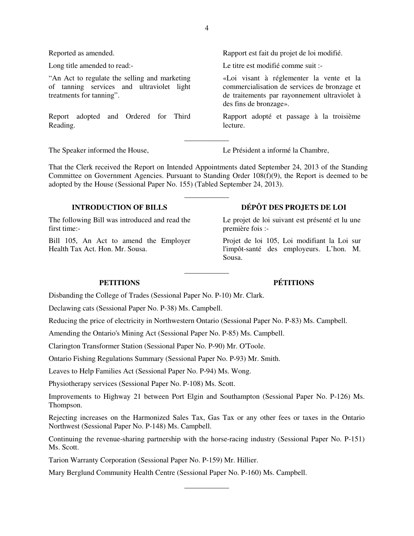Reported as amended. Rapport est fait du projet de loi modifié.

Long title amended to read:- Le titre est modifié comme suit :-

"An Act to regulate the selling and marketing of tanning services and ultraviolet light treatments for tanning".

Report adopted and Ordered for Third Reading.

The Speaker informed the House, Le Président a informé la Chambre,

des fins de bronzage».

lecture.

That the Clerk received the Report on Intended Appointments dated September 24, 2013 of the Standing Committee on Government Agencies. Pursuant to Standing Order  $108(f)(9)$ , the Report is deemed to be adopted by the House (Sessional Paper No. 155) (Tabled September 24, 2013).

\_\_\_\_\_\_\_\_\_\_\_\_

\_\_\_\_\_\_\_\_\_\_\_\_

\_\_\_\_\_\_\_\_\_\_\_\_

The following Bill was introduced and read the first time:-

Bill 105, An Act to amend the Employer Health Tax Act. Hon. Mr. Sousa.

# **INTRODUCTION OF BILLS DÉPÔT DES PROJETS DE LOI**

«Loi visant à réglementer la vente et la commercialisation de services de bronzage et de traitements par rayonnement ultraviolet à

Rapport adopté et passage à la troisième

Le projet de loi suivant est présenté et lu une première fois :-

Projet de loi 105, Loi modifiant la Loi sur l'impôt-santé des employeurs. L'hon. M. Sousa.

Disbanding the College of Trades (Sessional Paper No. P-10) Mr. Clark.

Declawing cats (Sessional Paper No. P-38) Ms. Campbell.

Reducing the price of electricity in Northwestern Ontario (Sessional Paper No. P-83) Ms. Campbell.

Amending the Ontario's Mining Act (Sessional Paper No. P-85) Ms. Campbell.

Clarington Transformer Station (Sessional Paper No. P-90) Mr. O'Toole.

Ontario Fishing Regulations Summary (Sessional Paper No. P-93) Mr. Smith.

Leaves to Help Families Act (Sessional Paper No. P-94) Ms. Wong.

Physiotherapy services (Sessional Paper No. P-108) Ms. Scott.

Improvements to Highway 21 between Port Elgin and Southampton (Sessional Paper No. P-126) Ms. Thompson.

Rejecting increases on the Harmonized Sales Tax, Gas Tax or any other fees or taxes in the Ontario Northwest (Sessional Paper No. P-148) Ms. Campbell.

Continuing the revenue-sharing partnership with the horse-racing industry (Sessional Paper No. P-151) Ms. Scott.

\_\_\_\_\_\_\_\_\_\_\_\_

Tarion Warranty Corporation (Sessional Paper No. P-159) Mr. Hillier.

Mary Berglund Community Health Centre (Sessional Paper No. P-160) Ms. Campbell.

# **PETITIONS PÉTITIONS**